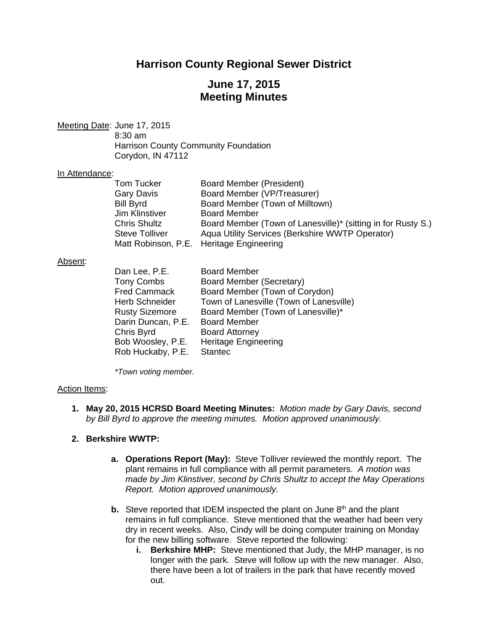# **Harrison County Regional Sewer District**

# **June 17, 2015 Meeting Minutes**

Meeting Date: June 17, 2015

 8:30 am Harrison County Community Foundation Corydon, IN 47112

#### In Attendance:

| <b>Tom Tucker</b>     | Board Member (President)                                     |
|-----------------------|--------------------------------------------------------------|
| <b>Gary Davis</b>     | Board Member (VP/Treasurer)                                  |
| <b>Bill Byrd</b>      | Board Member (Town of Milltown)                              |
| Jim Klinstiver        | <b>Board Member</b>                                          |
| <b>Chris Shultz</b>   | Board Member (Town of Lanesville)* (sitting in for Rusty S.) |
| <b>Steve Tolliver</b> | Aqua Utility Services (Berkshire WWTP Operator)              |
|                       | Matt Robinson, P.E. Heritage Engineering                     |

#### Absent:

| Dan Lee, P.E.         | <b>Board Member</b>                     |
|-----------------------|-----------------------------------------|
| <b>Tony Combs</b>     | <b>Board Member (Secretary)</b>         |
| <b>Fred Cammack</b>   | Board Member (Town of Corydon)          |
| <b>Herb Schneider</b> | Town of Lanesville (Town of Lanesville) |
| <b>Rusty Sizemore</b> | Board Member (Town of Lanesville)*      |
| Darin Duncan, P.E.    | <b>Board Member</b>                     |
| Chris Byrd            | <b>Board Attorney</b>                   |
| Bob Woosley, P.E.     | <b>Heritage Engineering</b>             |
| Rob Huckaby, P.E.     | <b>Stantec</b>                          |

 *\*Town voting member.* 

#### Action Items:

**1. May 20, 2015 HCRSD Board Meeting Minutes:** *Motion made by Gary Davis, second by Bill Byrd to approve the meeting minutes. Motion approved unanimously.*

### **2. Berkshire WWTP:**

- **a. Operations Report (May):** Steve Tolliver reviewed the monthly report. The plant remains in full compliance with all permit parameters. *A motion was made by Jim Klinstiver, second by Chris Shultz to accept the May Operations Report. Motion approved unanimously.*
- **b.** Steve reported that IDEM inspected the plant on June 8<sup>th</sup> and the plant remains in full compliance. Steve mentioned that the weather had been very dry in recent weeks. Also, Cindy will be doing computer training on Monday for the new billing software. Steve reported the following:
	- **i. Berkshire MHP:** Steve mentioned that Judy, the MHP manager, is no longer with the park. Steve will follow up with the new manager. Also, there have been a lot of trailers in the park that have recently moved out.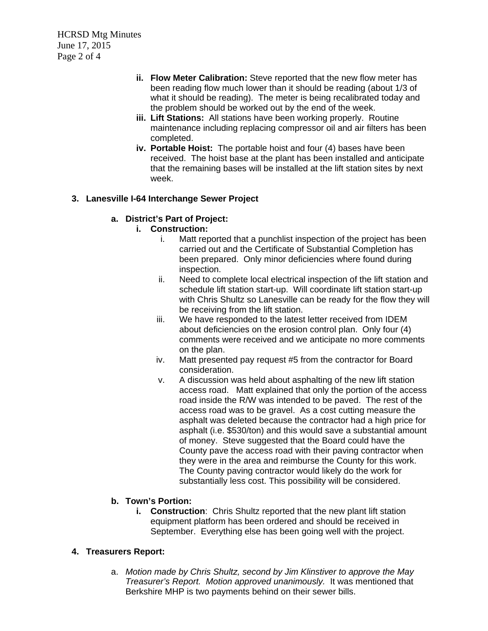HCRSD Mtg Minutes June 17, 2015 Page 2 of 4

- **ii. Flow Meter Calibration:** Steve reported that the new flow meter has been reading flow much lower than it should be reading (about 1/3 of what it should be reading). The meter is being recalibrated today and the problem should be worked out by the end of the week.
- **iii. Lift Stations:** All stations have been working properly. Routine maintenance including replacing compressor oil and air filters has been completed.
- **iv. Portable Hoist:** The portable hoist and four (4) bases have been received. The hoist base at the plant has been installed and anticipate that the remaining bases will be installed at the lift station sites by next week.

### **3. Lanesville I-64 Interchange Sewer Project**

### **a. District's Part of Project:**

### **i. Construction:**

- i. Matt reported that a punchlist inspection of the project has been carried out and the Certificate of Substantial Completion has been prepared. Only minor deficiencies where found during inspection.
- ii. Need to complete local electrical inspection of the lift station and schedule lift station start-up. Will coordinate lift station start-up with Chris Shultz so Lanesville can be ready for the flow they will be receiving from the lift station.
- iii. We have responded to the latest letter received from IDEM about deficiencies on the erosion control plan. Only four (4) comments were received and we anticipate no more comments on the plan.
- iv. Matt presented pay request #5 from the contractor for Board consideration.
- v. A discussion was held about asphalting of the new lift station access road. Matt explained that only the portion of the access road inside the R/W was intended to be paved. The rest of the access road was to be gravel. As a cost cutting measure the asphalt was deleted because the contractor had a high price for asphalt (i.e. \$530/ton) and this would save a substantial amount of money. Steve suggested that the Board could have the County pave the access road with their paving contractor when they were in the area and reimburse the County for this work. The County paving contractor would likely do the work for substantially less cost. This possibility will be considered.

## **b. Town's Portion:**

**i.** Construction: Chris Shultz reported that the new plant lift station equipment platform has been ordered and should be received in September. Everything else has been going well with the project.

### **4. Treasurers Report:**

a. *Motion made by Chris Shultz, second by Jim Klinstiver to approve the May Treasurer's Report. Motion approved unanimously.* It was mentioned that Berkshire MHP is two payments behind on their sewer bills.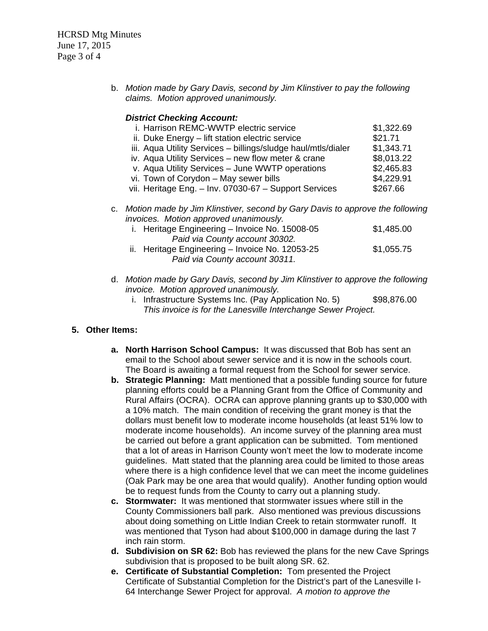HCRSD Mtg Minutes June 17, 2015 Page 3 of 4

> b. *Motion made by Gary Davis, second by Jim Klinstiver to pay the following claims. Motion approved unanimously.*

#### *District Checking Account:*

| i. Harrison REMC-WWTP electric service                        | \$1,322.69 |
|---------------------------------------------------------------|------------|
| ii. Duke Energy - lift station electric service               | \$21.71    |
| iii. Aqua Utility Services - billings/sludge haul/mtls/dialer | \$1,343.71 |
| iv. Aqua Utility Services - new flow meter & crane            | \$8,013.22 |
| v. Aqua Utility Services - June WWTP operations               | \$2,465.83 |
| vi. Town of Corydon - May sewer bills                         | \$4,229.91 |
| vii. Heritage Eng. - Inv. 07030-67 - Support Services         | \$267.66   |
|                                                               |            |

c. *Motion made by Jim Klinstiver, second by Gary Davis to approve the following invoices. Motion approved unanimously.* 

| i. Heritage Engineering – Invoice No. 15008-05  | \$1,485.00 |
|-------------------------------------------------|------------|
| Paid via County account 30302.                  |            |
| ii. Heritage Engineering – Invoice No. 12053-25 | \$1,055.75 |
| Paid via County account 30311.                  |            |

- d. *Motion made by Gary Davis, second by Jim Klinstiver to approve the following invoice. Motion approved unanimously.* 
	- i. Infrastructure Systems Inc. (Pay Application No. 5) \$98,876.00 *This invoice is for the Lanesville Interchange Sewer Project.*

#### **5. Other Items:**

- **a. North Harrison School Campus:** It was discussed that Bob has sent an email to the School about sewer service and it is now in the schools court. The Board is awaiting a formal request from the School for sewer service.
- **b. Strategic Planning:** Matt mentioned that a possible funding source for future planning efforts could be a Planning Grant from the Office of Community and Rural Affairs (OCRA). OCRA can approve planning grants up to \$30,000 with a 10% match. The main condition of receiving the grant money is that the dollars must benefit low to moderate income households (at least 51% low to moderate income households). An income survey of the planning area must be carried out before a grant application can be submitted. Tom mentioned that a lot of areas in Harrison County won't meet the low to moderate income guidelines. Matt stated that the planning area could be limited to those areas where there is a high confidence level that we can meet the income guidelines (Oak Park may be one area that would qualify). Another funding option would be to request funds from the County to carry out a planning study.
- **c. Stormwater:** It was mentioned that stormwater issues where still in the County Commissioners ball park. Also mentioned was previous discussions about doing something on Little Indian Creek to retain stormwater runoff. It was mentioned that Tyson had about \$100,000 in damage during the last 7 inch rain storm.
- **d. Subdivision on SR 62:** Bob has reviewed the plans for the new Cave Springs subdivision that is proposed to be built along SR. 62.
- **e. Certificate of Substantial Completion:** Tom presented the Project Certificate of Substantial Completion for the District's part of the Lanesville I-64 Interchange Sewer Project for approval. *A motion to approve the*